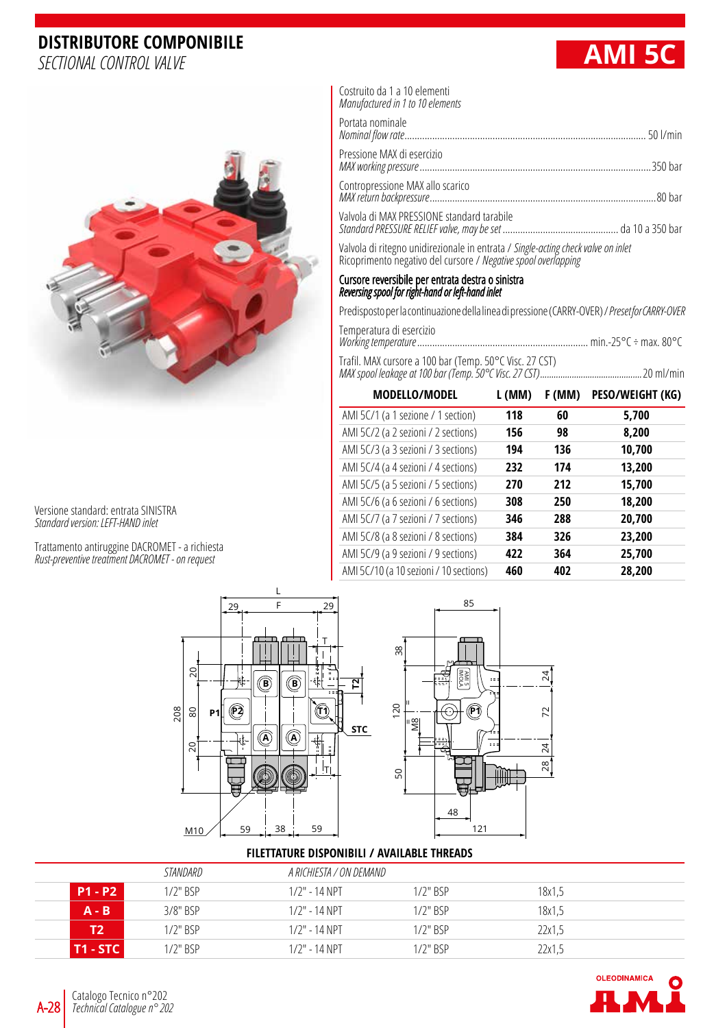## **DISTRIBUTORE COMPONIBILE**



Versione standard: entrata SINISTRA *Standard version: LEFT-HAND inlet*

Trattamento antiruggine DACROMET - a richiesta *Rust-preventive treatment DACROMET - on request*



Costruito da 1 a 10 elementi *Manufactured in 1 to 10 elements*

| Portata nominale                           |  |
|--------------------------------------------|--|
| Pressione MAX di esercizio                 |  |
|                                            |  |
| Valvola di MAX PRESSIONE standard tarabile |  |

Valvola di ritegno unidirezionale in entrata / *Single-acting check valve on inlet* Ricoprimento negativo del cursore / *Negative spool overlapping*

## Cursore reversibile per entrata destra o sinistra *Reversing spool for right-hand or left-hand inlet*

Predisposto per la continuazione della linea di pressione (CARRY-OVER) / *Preset for CARRY-OVER*

| Temperatura di esercizio |  |  |
|--------------------------|--|--|
|                          |  |  |
|                          |  |  |

Trafil. MAX cursore a 100 bar (Temp. 50°C Visc. 27 CST) *MAX spool leakage at 100 bar (Temp. 50°C Visc. 27 CST).............................................*20 ml/min

| <b>MODELLO/MODEL</b>                   | L (MM) | F (MM) | PESO/WEIGHT (KG) |
|----------------------------------------|--------|--------|------------------|
| AMI 5C/1 (a 1 sezione / 1 section)     | 118    | 60     | 5,700            |
| AMI 5C/2 (a 2 sezioni / 2 sections)    | 156    | 98     | 8,200            |
| AMI 5C/3 (a 3 sezioni / 3 sections)    | 194    | 136    | 10,700           |
| AMI 5C/4 (a 4 sezioni / 4 sections)    | 232    | 174    | 13,200           |
| AMI 5C/5 (a 5 sezioni / 5 sections)    | 270    | 212    | 15,700           |
| AMI 5C/6 (a 6 sezioni / 6 sections)    | 308    | 250    | 18,200           |
| AMI 5C/7 (a 7 sezioni / 7 sections)    | 346    | 288    | 20,700           |
| AMI 5C/8 (a 8 sezioni / 8 sections)    | 384    | 326    | 23,200           |
| AMI 5C/9 (a 9 sezioni / 9 sections)    | 422    | 364    | 25,700           |
| AMI 5C/10 (a 10 sezioni / 10 sections) | 460    | 402    | 28,200           |



## **FILETTATURE DISPONIBILI / AVAILABLE THREADS**

|                 | STANDARD      |                  | A RICHIESTA / ON DEMAND |        |  |
|-----------------|---------------|------------------|-------------------------|--------|--|
| <b>P1 - P2</b>  | $1/2$ " $BSP$ | $1/2$ " - 14 NPT | $1/2$ " $RSP$           | 18x1,5 |  |
| $A - B$         | $3/8"$ RSP    | $1/2$ " - 14 NPT | $1/2$ " $RSP$           | 18x1,5 |  |
| T2              | $1/2$ " $RSP$ | $1/2$ " - 14 NPT | $1/2$ " $RSP$           | 22x1.5 |  |
| <b>T1 - STC</b> | $1/2$ " BSP   | $1/2$ " - 14 NPT | $1/2$ " BSP             | 22x1,5 |  |